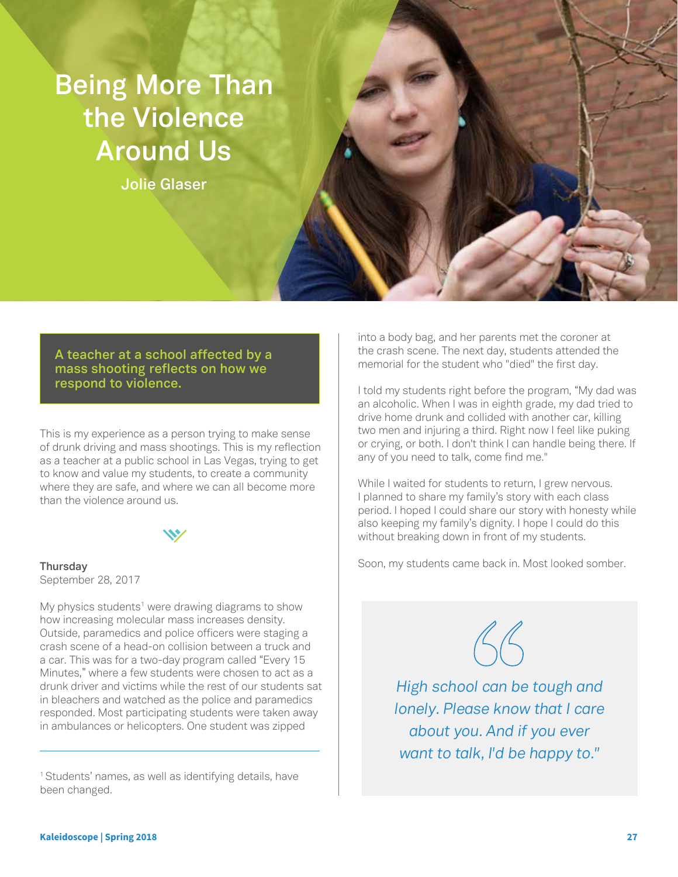# **Being More Than the Violence Around Us**

**Jolie Glaser**

**A teacher at a school affected by a mass shooting reflects on how we respond to violence.**

This is my experience as a person trying to make sense of drunk driving and mass shootings. This is my reflection as a teacher at a public school in Las Vegas, trying to get to know and value my students, to create a community where they are safe, and where we can all become more than the violence around us.

## **Thursday**

September 28, 2017

My physics students<sup>1</sup> were drawing diagrams to show how increasing molecular mass increases density. Outside, paramedics and police officers were staging a crash scene of a head-on collision between a truck and a car. This was for a two-day program called "Every 15 Minutes," where a few students were chosen to act as a drunk driver and victims while the rest of our students sat in bleachers and watched as the police and paramedics responded. Most participating students were taken away in ambulances or helicopters. One student was zipped

<sup>1</sup> Students' names, as well as identifying details, have been changed.

into a body bag, and her parents met the coroner at the crash scene. The next day, students attended the memorial for the student who "died" the first day.

I told my students right before the program, "My dad was an alcoholic. When I was in eighth grade, my dad tried to drive home drunk and collided with another car, killing two men and injuring a third. Right now I feel like puking or crying, or both. I don't think I can handle being there. If any of you need to talk, come find me."

While I waited for students to return, I grew nervous. I planned to share my family's story with each class period. I hoped I could share our story with honesty while also keeping my family's dignity. I hope I could do this without breaking down in front of my students.

Soon, my students came back in. Most looked somber.



*High school can be tough and lonely. Please know that I care about you. And if you ever want to talk, I'd be happy to."*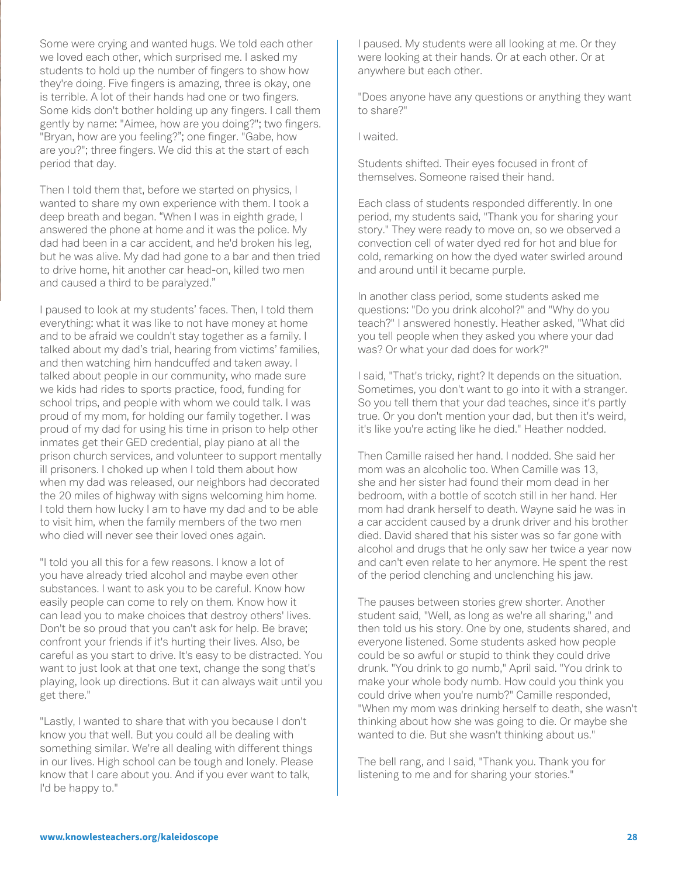Some were crying and wanted hugs. We told each other we loved each other, which surprised me. I asked my students to hold up the number of fingers to show how they're doing. Five fingers is amazing, three is okay, one is terrible. A lot of their hands had one or two fingers. Some kids don't bother holding up any fingers. I call them gently by name: "Aimee, how are you doing?"; two fingers. "Bryan, how are you feeling?"; one finger. "Gabe, how are you?"; three fingers. We did this at the start of each period that day.

Then I told them that, before we started on physics, I wanted to share my own experience with them. I took a deep breath and began. "When I was in eighth grade, I answered the phone at home and it was the police. My dad had been in a car accident, and he'd broken his leg, but he was alive. My dad had gone to a bar and then tried to drive home, hit another car head-on, killed two men and caused a third to be paralyzed."

I paused to look at my students' faces. Then, I told them everything: what it was like to not have money at home and to be afraid we couldn't stay together as a family. I talked about my dad's trial, hearing from victims' families, and then watching him handcuffed and taken away. I talked about people in our community, who made sure we kids had rides to sports practice, food, funding for school trips, and people with whom we could talk. I was proud of my mom, for holding our family together. I was proud of my dad for using his time in prison to help other inmates get their GED credential, play piano at all the prison church services, and volunteer to support mentally ill prisoners. I choked up when I told them about how when my dad was released, our neighbors had decorated the 20 miles of highway with signs welcoming him home. I told them how lucky I am to have my dad and to be able to visit him, when the family members of the two men who died will never see their loved ones again.

"I told you all this for a few reasons. I know a lot of you have already tried alcohol and maybe even other substances. I want to ask you to be careful. Know how easily people can come to rely on them. Know how it can lead you to make choices that destroy others' lives. Don't be so proud that you can't ask for help. Be brave; confront your friends if it's hurting their lives. Also, be careful as you start to drive. It's easy to be distracted. You want to just look at that one text, change the song that's playing, look up directions. But it can always wait until you get there."

"Lastly, I wanted to share that with you because I don't know you that well. But you could all be dealing with something similar. We're all dealing with different things in our lives. High school can be tough and lonely. Please know that I care about you. And if you ever want to talk, I'd be happy to."

I paused. My students were all looking at me. Or they were looking at their hands. Or at each other. Or at anywhere but each other.

"Does anyone have any questions or anything they want to share?"

I waited.

Students shifted. Their eyes focused in front of themselves. Someone raised their hand.

Each class of students responded differently. In one period, my students said, "Thank you for sharing your story." They were ready to move on, so we observed a convection cell of water dyed red for hot and blue for cold, remarking on how the dyed water swirled around and around until it became purple.

In another class period, some students asked me questions: "Do you drink alcohol?" and "Why do you teach?" I answered honestly. Heather asked, "What did you tell people when they asked you where your dad was? Or what your dad does for work?"

I said, "That's tricky, right? It depends on the situation. Sometimes, you don't want to go into it with a stranger. So you tell them that your dad teaches, since it's partly true. Or you don't mention your dad, but then it's weird, it's like you're acting like he died." Heather nodded.

Then Camille raised her hand. I nodded. She said her mom was an alcoholic too. When Camille was 13, she and her sister had found their mom dead in her bedroom, with a bottle of scotch still in her hand. Her mom had drank herself to death. Wayne said he was in a car accident caused by a drunk driver and his brother died. David shared that his sister was so far gone with alcohol and drugs that he only saw her twice a year now and can't even relate to her anymore. He spent the rest of the period clenching and unclenching his jaw.

The pauses between stories grew shorter. Another student said, "Well, as long as we're all sharing," and then told us his story. One by one, students shared, and everyone listened. Some students asked how people could be so awful or stupid to think they could drive drunk. "You drink to go numb," April said. "You drink to make your whole body numb. How could you think you could drive when you're numb?" Camille responded, "When my mom was drinking herself to death, she wasn't thinking about how she was going to die. Or maybe she wanted to die. But she wasn't thinking about us."

The bell rang, and I said, "Thank you. Thank you for listening to me and for sharing your stories."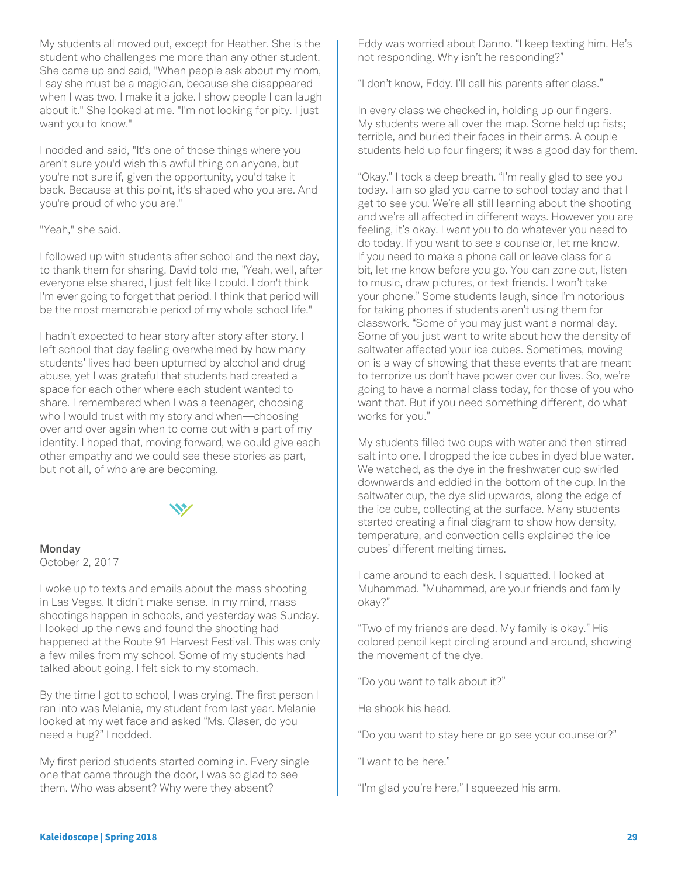My students all moved out, except for Heather. She is the student who challenges me more than any other student. She came up and said, "When people ask about my mom, I say she must be a magician, because she disappeared when I was two. I make it a joke. I show people I can laugh about it." She looked at me. "I'm not looking for pity. I just want you to know."

I nodded and said, "It's one of those things where you aren't sure you'd wish this awful thing on anyone, but you're not sure if, given the opportunity, you'd take it back. Because at this point, it's shaped who you are. And you're proud of who you are."

#### "Yeah," she said.

I followed up with students after school and the next day, to thank them for sharing. David told me, "Yeah, well, after everyone else shared, I just felt like I could. I don't think I'm ever going to forget that period. I think that period will be the most memorable period of my whole school life."

I hadn't expected to hear story after story after story. I left school that day feeling overwhelmed by how many students' lives had been upturned by alcohol and drug abuse, yet I was grateful that students had created a space for each other where each student wanted to share. I remembered when I was a teenager, choosing who I would trust with my story and when—choosing over and over again when to come out with a part of my identity. I hoped that, moving forward, we could give each other empathy and we could see these stories as part, but not all, of who are are becoming.



### **Monday**

October 2, 2017

I woke up to texts and emails about the mass shooting in Las Vegas. It didn't make sense. In my mind, mass shootings happen in schools, and yesterday was Sunday. I looked up the news and found the shooting had happened at the Route 91 Harvest Festival. This was only a few miles from my school. Some of my students had talked about going. I felt sick to my stomach.

By the time I got to school, I was crying. The first person I ran into was Melanie, my student from last year. Melanie looked at my wet face and asked "Ms. Glaser, do you need a hug?" I nodded.

My first period students started coming in. Every single one that came through the door, I was so glad to see them. Who was absent? Why were they absent?

Eddy was worried about Danno. "I keep texting him. He's not responding. Why isn't he responding?"

"I don't know, Eddy. I'll call his parents after class."

In every class we checked in, holding up our fingers. My students were all over the map. Some held up fists; terrible, and buried their faces in their arms. A couple students held up four fingers; it was a good day for them.

"Okay." I took a deep breath. "I'm really glad to see you today. I am so glad you came to school today and that I get to see you. We're all still learning about the shooting and we're all affected in different ways. However you are feeling, it's okay. I want you to do whatever you need to do today. If you want to see a counselor, let me know. If you need to make a phone call or leave class for a bit, let me know before you go. You can zone out, listen to music, draw pictures, or text friends. I won't take your phone." Some students laugh, since I'm notorious for taking phones if students aren't using them for classwork. "Some of you may just want a normal day. Some of you just want to write about how the density of saltwater affected your ice cubes. Sometimes, moving on is a way of showing that these events that are meant to terrorize us don't have power over our lives. So, we're going to have a normal class today, for those of you who want that. But if you need something different, do what works for you."

My students filled two cups with water and then stirred salt into one. I dropped the ice cubes in dyed blue water. We watched, as the dye in the freshwater cup swirled downwards and eddied in the bottom of the cup. In the saltwater cup, the dye slid upwards, along the edge of the ice cube, collecting at the surface. Many students started creating a final diagram to show how density, temperature, and convection cells explained the ice cubes' different melting times.

I came around to each desk. I squatted. I looked at Muhammad. "Muhammad, are your friends and family okay?"

"Two of my friends are dead. My family is okay." His colored pencil kept circling around and around, showing the movement of the dye.

"Do you want to talk about it?"

He shook his head.

"Do you want to stay here or go see your counselor?"

"I want to be here."

"I'm glad you're here," I squeezed his arm.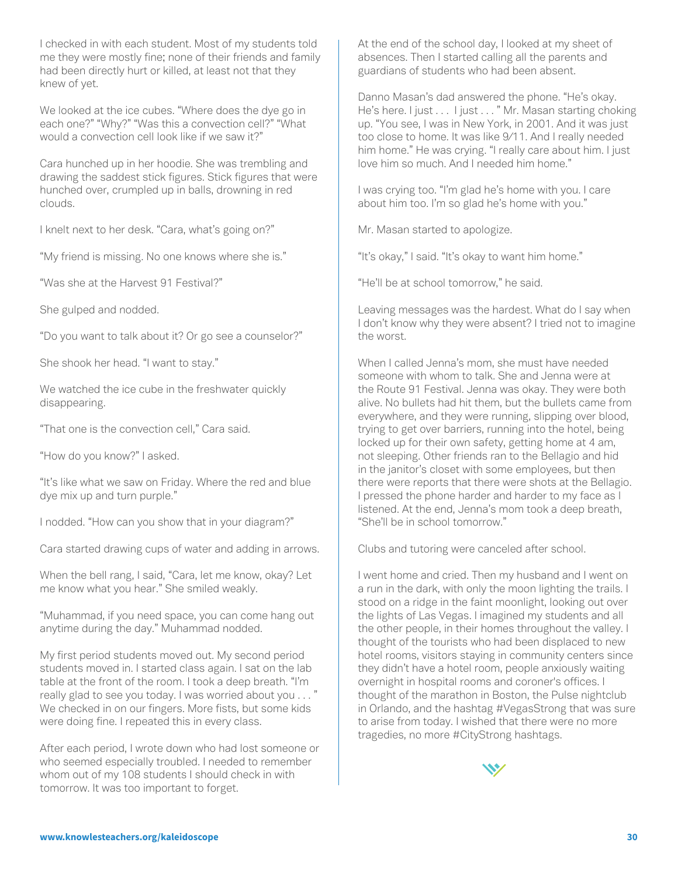I checked in with each student. Most of my students told me they were mostly fine; none of their friends and family had been directly hurt or killed, at least not that they knew of yet.

We looked at the ice cubes. "Where does the dye go in each one?" "Why?" "Was this a convection cell?" "What would a convection cell look like if we saw it?"

Cara hunched up in her hoodie. She was trembling and drawing the saddest stick figures. Stick figures that were hunched over, crumpled up in balls, drowning in red clouds.

I knelt next to her desk. "Cara, what's going on?"

"My friend is missing. No one knows where she is."

"Was she at the Harvest 91 Festival?"

She gulped and nodded.

"Do you want to talk about it? Or go see a counselor?"

She shook her head. "I want to stay."

We watched the ice cube in the freshwater quickly disappearing.

"That one is the convection cell," Cara said.

"How do you know?" I asked.

"It's like what we saw on Friday. Where the red and blue dye mix up and turn purple."

I nodded. "How can you show that in your diagram?"

Cara started drawing cups of water and adding in arrows.

When the bell rang, I said, "Cara, let me know, okay? Let me know what you hear." She smiled weakly.

"Muhammad, if you need space, you can come hang out anytime during the day." Muhammad nodded.

My first period students moved out. My second period students moved in. I started class again. I sat on the lab table at the front of the room. I took a deep breath. "I'm really glad to see you today. I was worried about you . . . " We checked in on our fingers. More fists, but some kids were doing fine. I repeated this in every class.

After each period, I wrote down who had lost someone or who seemed especially troubled. I needed to remember whom out of my 108 students I should check in with tomorrow. It was too important to forget.

At the end of the school day, I looked at my sheet of absences. Then I started calling all the parents and guardians of students who had been absent.

Danno Masan's dad answered the phone. "He's okay. He's here. I just . . . I just . . . " Mr. Masan starting choking up. "You see, I was in New York, in 2001. And it was just too close to home. It was like 9/11. And I really needed him home." He was crying. "I really care about him. I just love him so much. And I needed him home."

I was crying too. "I'm glad he's home with you. I care about him too. I'm so glad he's home with you."

Mr. Masan started to apologize.

"It's okay," I said. "It's okay to want him home."

"He'll be at school tomorrow," he said.

Leaving messages was the hardest. What do I say when I don't know why they were absent? I tried not to imagine the worst.

When I called Jenna's mom, she must have needed someone with whom to talk. She and Jenna were at the Route 91 Festival. Jenna was okay. They were both alive. No bullets had hit them, but the bullets came from everywhere, and they were running, slipping over blood, trying to get over barriers, running into the hotel, being locked up for their own safety, getting home at 4 am, not sleeping. Other friends ran to the Bellagio and hid in the janitor's closet with some employees, but then there were reports that there were shots at the Bellagio. I pressed the phone harder and harder to my face as I listened. At the end, Jenna's mom took a deep breath, "She'll be in school tomorrow."

Clubs and tutoring were canceled after school.

I went home and cried. Then my husband and I went on a run in the dark, with only the moon lighting the trails. I stood on a ridge in the faint moonlight, looking out over the lights of Las Vegas. I imagined my students and all the other people, in their homes throughout the valley. I thought of the tourists who had been displaced to new hotel rooms, visitors staying in community centers since they didn't have a hotel room, people anxiously waiting overnight in hospital rooms and coroner's offices. I thought of the marathon in Boston, the Pulse nightclub in Orlando, and the hashtag #VegasStrong that was sure to arise from today. I wished that there were no more tragedies, no more #CityStrong hashtags.

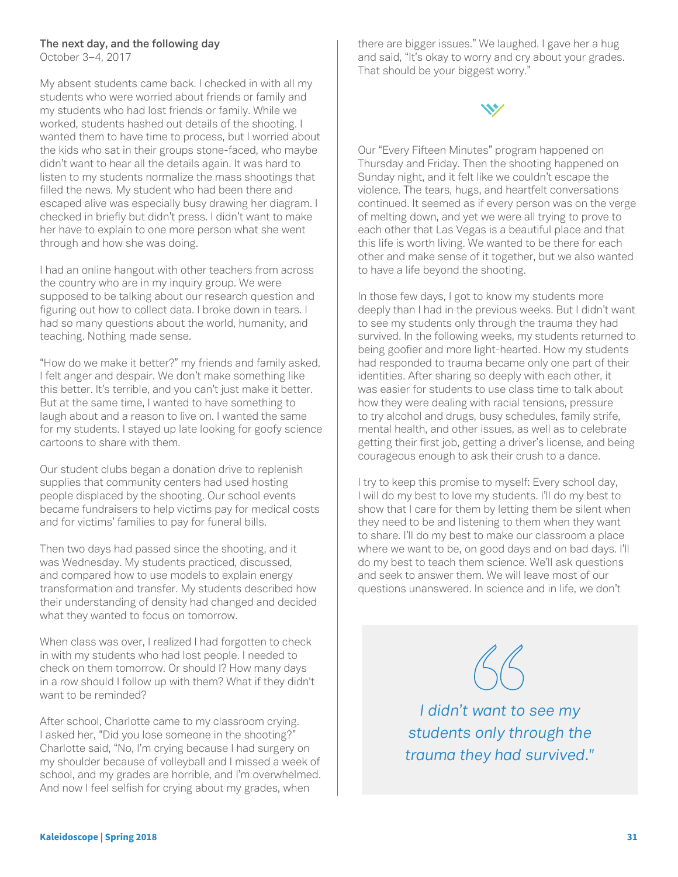#### **The next day, and the following day**

October 3–4, 2017

My absent students came back. I checked in with all my students who were worried about friends or family and my students who had lost friends or family. While we worked, students hashed out details of the shooting. I wanted them to have time to process, but I worried about the kids who sat in their groups stone-faced, who maybe didn't want to hear all the details again. It was hard to listen to my students normalize the mass shootings that filled the news. My student who had been there and escaped alive was especially busy drawing her diagram. I checked in briefly but didn't press. I didn't want to make her have to explain to one more person what she went through and how she was doing.

I had an online hangout with other teachers from across the country who are in my inquiry group. We were supposed to be talking about our research question and figuring out how to collect data. I broke down in tears. I had so many questions about the world, humanity, and teaching. Nothing made sense.

"How do we make it better?" my friends and family asked. I felt anger and despair. We don't make something like this better. It's terrible, and you can't just make it better. But at the same time, I wanted to have something to laugh about and a reason to live on. I wanted the same for my students. I stayed up late looking for goofy science cartoons to share with them.

Our student clubs began a donation drive to replenish supplies that community centers had used hosting people displaced by the shooting. Our school events became fundraisers to help victims pay for medical costs and for victims' families to pay for funeral bills.

Then two days had passed since the shooting, and it was Wednesday. My students practiced, discussed, and compared how to use models to explain energy transformation and transfer. My students described how their understanding of density had changed and decided what they wanted to focus on tomorrow.

When class was over, I realized I had forgotten to check in with my students who had lost people. I needed to check on them tomorrow. Or should I? How many days in a row should I follow up with them? What if they didn't want to be reminded?

After school, Charlotte came to my classroom crying. I asked her, "Did you lose someone in the shooting?" Charlotte said, "No, I'm crying because I had surgery on my shoulder because of volleyball and I missed a week of school, and my grades are horrible, and I'm overwhelmed. And now I feel selfish for crying about my grades, when

there are bigger issues." We laughed. I gave her a hug and said, "It's okay to worry and cry about your grades. That should be your biggest worry."



Our "Every Fifteen Minutes" program happened on Thursday and Friday. Then the shooting happened on Sunday night, and it felt like we couldn't escape the violence. The tears, hugs, and heartfelt conversations continued. It seemed as if every person was on the verge of melting down, and yet we were all trying to prove to each other that Las Vegas is a beautiful place and that this life is worth living. We wanted to be there for each other and make sense of it together, but we also wanted to have a life beyond the shooting.

In those few days, I got to know my students more deeply than I had in the previous weeks. But I didn't want to see my students only through the trauma they had survived. In the following weeks, my students returned to being goofier and more light-hearted. How my students had responded to trauma became only one part of their identities. After sharing so deeply with each other, it was easier for students to use class time to talk about how they were dealing with racial tensions, pressure to try alcohol and drugs, busy schedules, family strife, mental health, and other issues, as well as to celebrate getting their first job, getting a driver's license, and being courageous enough to ask their crush to a dance.

I try to keep this promise to myself: Every school day, I will do my best to love my students. I'll do my best to show that I care for them by letting them be silent when they need to be and listening to them when they want to share. I'll do my best to make our classroom a place where we want to be, on good days and on bad days. I'll do my best to teach them science. We'll ask questions and seek to answer them. We will leave most of our questions unanswered. In science and in life, we don't

*I didn't want to see my students only through the trauma they had survived."*